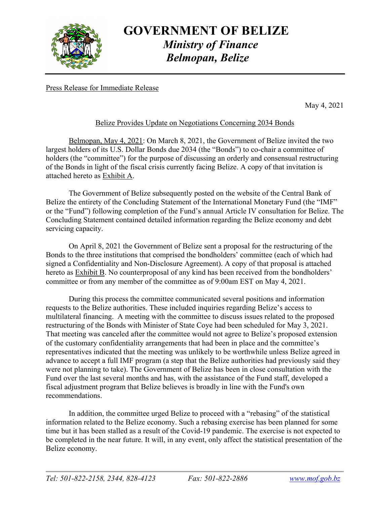

### **GOVERNMENT OF BELIZE**   *Ministry of Finance Belmopan, Belize*

Press Release for Immediate Release

May 4, 2021

### Belize Provides Update on Negotiations Concerning 2034 Bonds

 Belmopan, May 4, 2021: On March 8, 2021, the Government of Belize invited the two largest holders of its U.S. Dollar Bonds due 2034 (the "Bonds") to co-chair a committee of holders (the "committee") for the purpose of discussing an orderly and consensual restructuring of the Bonds in light of the fiscal crisis currently facing Belize. A copy of that invitation is attached hereto as Exhibit A.

 The Government of Belize subsequently posted on the website of the Central Bank of Belize the entirety of the Concluding Statement of the International Monetary Fund (the "IMF" or the "Fund") following completion of the Fund's annual Article IV consultation for Belize. The Concluding Statement contained detailed information regarding the Belize economy and debt servicing capacity.

 On April 8, 2021 the Government of Belize sent a proposal for the restructuring of the Bonds to the three institutions that comprised the bondholders' committee (each of which had signed a Confidentiality and Non-Disclosure Agreement). A copy of that proposal is attached hereto as Exhibit B. No counterproposal of any kind has been received from the bondholders' committee or from any member of the committee as of 9:00am EST on May 4, 2021.

 During this process the committee communicated several positions and information requests to the Belize authorities. These included inquiries regarding Belize's access to multilateral financing. A meeting with the committee to discuss issues related to the proposed restructuring of the Bonds with Minister of State Coye had been scheduled for May 3, 2021. That meeting was canceled after the committee would not agree to Belize's proposed extension of the customary confidentiality arrangements that had been in place and the committee's representatives indicated that the meeting was unlikely to be worthwhile unless Belize agreed in advance to accept a full IMF program (a step that the Belize authorities had previously said they were not planning to take). The Government of Belize has been in close consultation with the Fund over the last several months and has, with the assistance of the Fund staff, developed a fiscal adjustment program that Belize believes is broadly in line with the Fund's own recommendations.

 In addition, the committee urged Belize to proceed with a "rebasing" of the statistical information related to the Belize economy. Such a rebasing exercise has been planned for some time but it has been stalled as a result of the Covid-19 pandemic. The exercise is not expected to be completed in the near future. It will, in any event, only affect the statistical presentation of the Belize economy.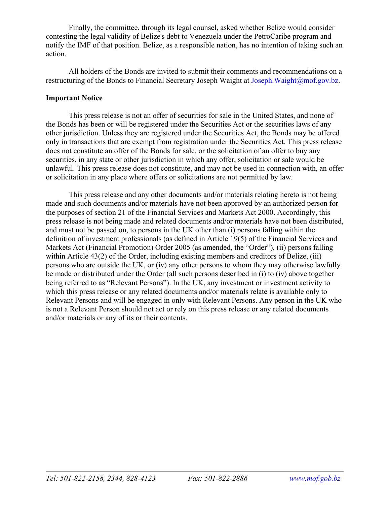Finally, the committee, through its legal counsel, asked whether Belize would consider contesting the legal validity of Belize's debt to Venezuela under the PetroCaribe program and notify the IMF of that position. Belize, as a responsible nation, has no intention of taking such an action.

 All holders of the Bonds are invited to submit their comments and recommendations on a restructuring of the Bonds to Financial Secretary Joseph Waight at Joseph. Waight@mof.gov.bz.

### **Important Notice**

 This press release is not an offer of securities for sale in the United States, and none of the Bonds has been or will be registered under the Securities Act or the securities laws of any other jurisdiction. Unless they are registered under the Securities Act, the Bonds may be offered only in transactions that are exempt from registration under the Securities Act. This press release does not constitute an offer of the Bonds for sale, or the solicitation of an offer to buy any securities, in any state or other jurisdiction in which any offer, solicitation or sale would be unlawful. This press release does not constitute, and may not be used in connection with, an offer or solicitation in any place where offers or solicitations are not permitted by law.

 This press release and any other documents and/or materials relating hereto is not being made and such documents and/or materials have not been approved by an authorized person for the purposes of section 21 of the Financial Services and Markets Act 2000. Accordingly, this press release is not being made and related documents and/or materials have not been distributed, and must not be passed on, to persons in the UK other than (i) persons falling within the definition of investment professionals (as defined in Article 19(5) of the Financial Services and Markets Act (Financial Promotion) Order 2005 (as amended, the "Order"), (ii) persons falling within Article 43(2) of the Order, including existing members and creditors of Belize, (iii) persons who are outside the UK, or (iv) any other persons to whom they may otherwise lawfully be made or distributed under the Order (all such persons described in (i) to (iv) above together being referred to as "Relevant Persons"). In the UK, any investment or investment activity to which this press release or any related documents and/or materials relate is available only to Relevant Persons and will be engaged in only with Relevant Persons. Any person in the UK who is not a Relevant Person should not act or rely on this press release or any related documents and/or materials or any of its or their contents.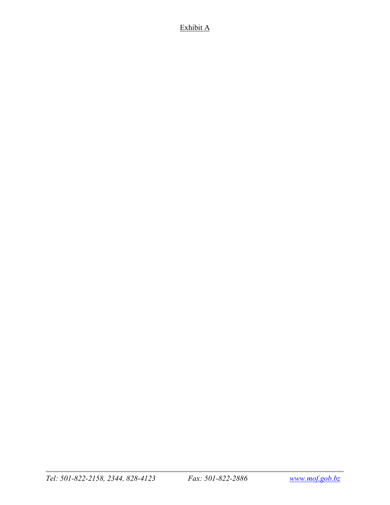### Exhibit A

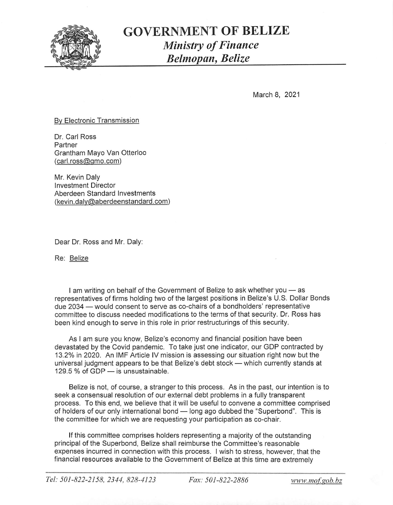

### **GOVERNMENT OF BELIZE Ministry of Finance** Belmopan, Belize

March 8, 2021

#### By Electronic Transmission

Dr. Carl Ross Partner Grantham Mayo Van Otterloo (carl.ross@gmo.com)

Mr. Kevin Daly **Investment Director** Aberdeen Standard Investments (kevin.daly@aberdeenstandard.com)

Dear Dr. Ross and Mr. Daly:

Re: Belize

I am writing on behalf of the Government of Belize to ask whether you - as representatives of firms holding two of the largest positions in Belize's U.S. Dollar Bonds due 2034 – would consent to serve as co-chairs of a bondholders' representative committee to discuss needed modifications to the terms of that security. Dr. Ross has been kind enough to serve in this role in prior restructurings of this security.

As I am sure you know, Belize's economy and financial position have been devastated by the Covid pandemic. To take just one indicator, our GDP contracted by 13.2% in 2020. An IMF Article IV mission is assessing our situation right now but the universal judgment appears to be that Belize's debt stock - which currently stands at 129.5 % of GDP - is unsustainable.

Belize is not, of course, a stranger to this process. As in the past, our intention is to seek a consensual resolution of our external debt problems in a fully transparent process. To this end, we believe that it will be useful to convene a committee comprised of holders of our only international bond - long ago dubbed the "Superbond". This is the committee for which we are requesting your participation as co-chair.

If this committee comprises holders representing a majority of the outstanding principal of the Superbond, Belize shall reimburse the Committee's reasonable expenses incurred in connection with this process. I wish to stress, however, that the financial resources available to the Government of Belize at this time are extremely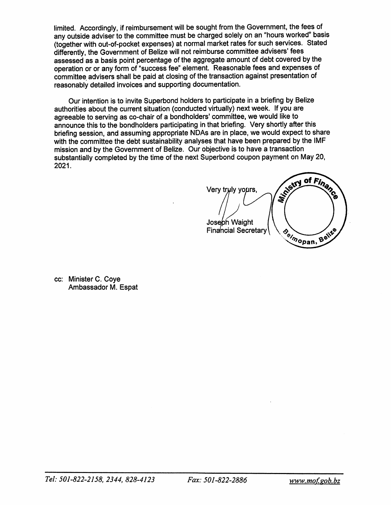limited. Accordingly, if reimbursement will be sought from the Government, the fees of any outside adviser to the committee must be charged solely on an "hours worked" basis (together with out-of-pocket expenses) at normal market rates for such services. Stated differently, the Government of Belize will not reimburse committee advisers' fees assessed as a basis point percentage of the aggregate amount of debt covered by the operation or or any form of "success fee" element. Reasonable fees and expenses of committee advisers shall be paid at closing of the transaction against presentation of reasonably detailed invoices and supporting documentation.

Our intention is to invite Superbond holders to participate in a briefing by Belize authorities about the current situation (conducted virtually) next week. If you are agreeable to serving as co-chair of a bondholders' committee, we would like to announce this to the bondholders participating in that briefing. Very shortly after this briefing session, and assuming appropriate NDAs are in place, we would expect to share with the committee the debt sustainability analyses that have been prepared by the IMF mission and by the Government of Belize. Our objective is to have a transaction substantially completed by the time of the next Superbond coupon payment on May 20. 2021.

of Finance Maritime R Very truly yours, Joseph Waight Beimopan, Belize **Financial Secretary** 

cc: Minister C. Coye Ambassador M. Espat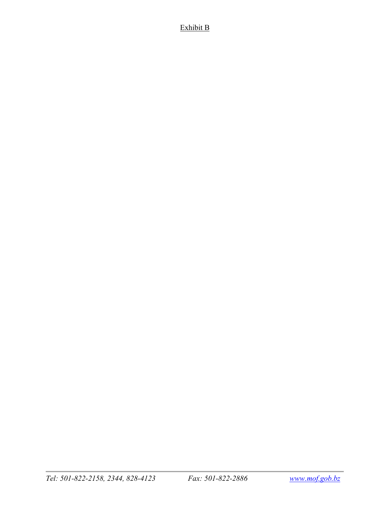### Exhibit B

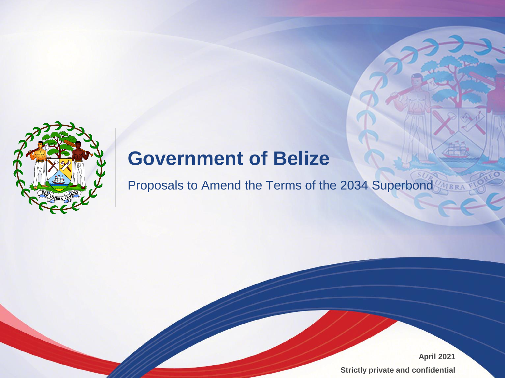

# **Government of Belize**

Proposals to Amend the Terms of the 2034 Superbond

**April 2021 Strictly private and confidential**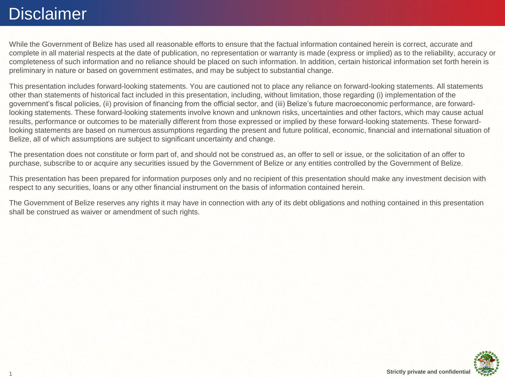### Disclaimer

While the Government of Belize has used all reasonable efforts to ensure that the factual information contained herein is correct, accurate and complete in all material respects at the date of publication, no representation or warranty is made (express or implied) as to the reliability, accuracy or completeness of such information and no reliance should be placed on such information. In addition, certain historical information set forth herein is preliminary in nature or based on government estimates, and may be subject to substantial change.

This presentation includes forward-looking statements. You are cautioned not to place any reliance on forward-looking statements. All statements other than statements of historical fact included in this presentation, including, without limitation, those regarding (i) implementation of the government's fiscal policies, (ii) provision of financing from the official sector, and (iii) Belize's future macroeconomic performance, are forwardlooking statements. These forward-looking statements involve known and unknown risks, uncertainties and other factors, which may cause actual results, performance or outcomes to be materially different from those expressed or implied by these forward-looking statements. These forwardlooking statements are based on numerous assumptions regarding the present and future political, economic, financial and international situation of Belize, all of which assumptions are subject to significant uncertainty and change.

The presentation does not constitute or form part of, and should not be construed as, an offer to sell or issue, or the solicitation of an offer to purchase, subscribe to or acquire any securities issued by the Government of Belize or any entities controlled by the Government of Belize.

This presentation has been prepared for information purposes only and no recipient of this presentation should make any investment decision with respect to any securities, loans or any other financial instrument on the basis of information contained herein.

The Government of Belize reserves any rights it may have in connection with any of its debt obligations and nothing contained in this presentation shall be construed as waiver or amendment of such rights.

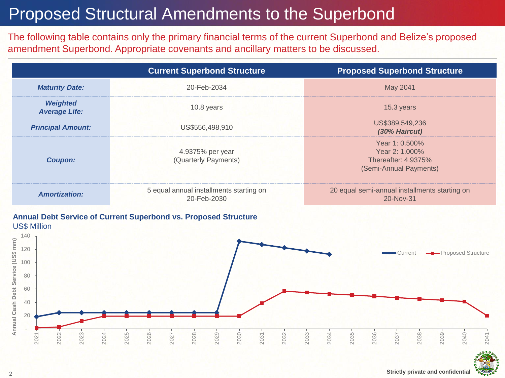## Proposed Structural Amendments to the Superbond

The following table contains only the primary financial terms of the current Superbond and Belize's proposed amendment Superbond. Appropriate covenants and ancillary matters to be discussed.

|                                         | <b>Current Superbond Structure</b>                     | <b>Proposed Superbond Structure</b>                                               |  |  |
|-----------------------------------------|--------------------------------------------------------|-----------------------------------------------------------------------------------|--|--|
| <b>Maturity Date:</b>                   | 20-Feb-2034                                            | May 2041                                                                          |  |  |
| <b>Weighted</b><br><b>Average Life:</b> | 10.8 years                                             | 15.3 years                                                                        |  |  |
| <b>Principal Amount:</b>                | US\$556,498,910                                        | US\$389,549,236<br>(30% Haircut)                                                  |  |  |
| <b>Coupon:</b>                          | 4.9375% per year<br>(Quarterly Payments)               | Year 1: 0.500%<br>Year 2: 1.000%<br>Thereafter: 4.9375%<br>(Semi-Annual Payments) |  |  |
| <b>Amortization:</b>                    | 5 equal annual installments starting on<br>20-Feb-2030 | 20 equal semi-annual installments starting on<br>20-Nov-31                        |  |  |

#### **Annual Debt Service of Current Superbond vs. Proposed Structure** US\$ Million



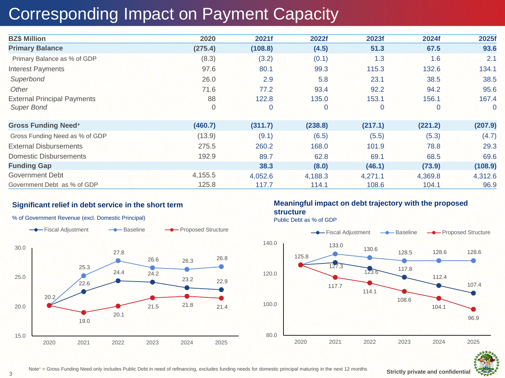## Corresponding Impact on Payment Capacity

| <b>BZ\$ Million</b>                | 2020    | 2021f   | 2022f       | 2023f   | 2024f   | 2025f          |
|------------------------------------|---------|---------|-------------|---------|---------|----------------|
| <b>Primary Balance</b>             | (275.4) | (108.8) | (4.5)       | 51.3    | 67.5    | 93.6           |
| Primary Balance as % of GDP        | (8.3)   | (3.2)   | (0.1)       | 1.3     | 1.6     | 2.1            |
| <b>Interest Payments</b>           | 97.6    | 80.1    | 99.3        | 115.3   | 132.6   | 134.1          |
| Superbond                          | 26.0    | 2.9     | 5.8         | 23.1    | 38.5    | 38.5           |
| Other                              | 71.6    | 77.2    | 93.4        | 92.2    | 94.2    | 95.6           |
| <b>External Principal Payments</b> | 88      | 122.8   | 135.0       | 153.1   | 156.1   | 167.4          |
| <b>Super Bond</b>                  | 0       | 0       | $\mathbf 0$ | 0       | 0       | $\overline{0}$ |
| <b>Gross Funding Need+</b>         | (460.7) | (311.7) | (238.8)     | (217.1) | (221.2) | (207.9)        |
| Gross Funding Need as % of GDP     | (13.9)  | (9.1)   | (6.5)       | (5.5)   | (5.3)   | (4.7)          |
| <b>External Disbursements</b>      | 275.5   | 260.2   | 168.0       | 101.9   | 78.8    | 29.3           |
| <b>Domestic Disbursements</b>      | 192.9   | 89.7    | 62.8        | 69.1    | 68.5    | 69.6           |
| <b>Funding Gap</b>                 |         | 38.3    | (8.0)       | (46.1)  | (73.9)  | (108.9)        |
| Government Debt                    | 4,155.5 | 4,052.6 | 4,188.3     | 4,271.1 | 4,369.8 | 4,312.6        |
| Government Debt as % of GDP        | 125.8   | 117.7   | 114.1       | 108.6   | 104.1   | 96.9           |

### **Significant relief in debt service in the short term**



#### % of Government Revenue (excl. Domestic Principal)

### **Meaningful impact on debt trajectory with the proposed structure**

Public Debt as % of GDP